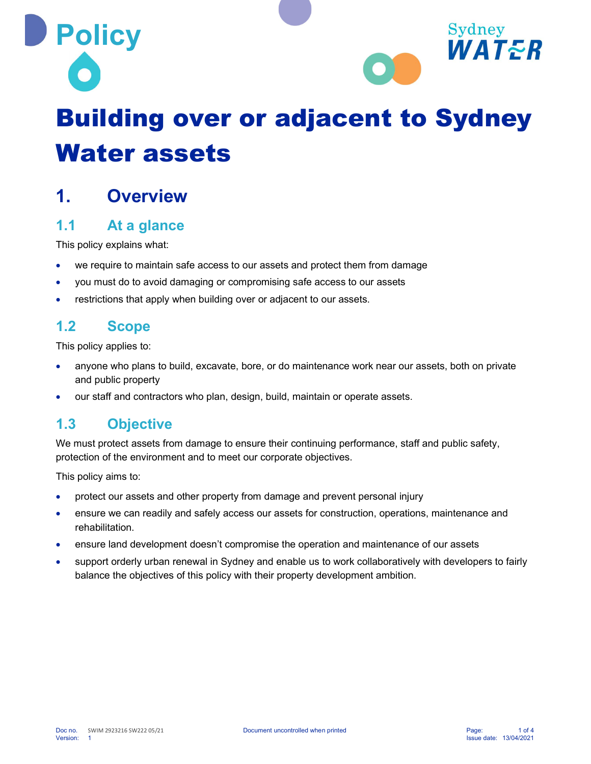

# Building over or adjacent to Sydney Water assets

## 1. Overview

#### 1.1 At a glance

This policy explains what:

- we require to maintain safe access to our assets and protect them from damage
- you must do to avoid damaging or compromising safe access to our assets
- restrictions that apply when building over or adjacent to our assets.

#### 1.2 Scope

This policy applies to:

- anyone who plans to build, excavate, bore, or do maintenance work near our assets, both on private and public property
- our staff and contractors who plan, design, build, maintain or operate assets.

#### 1.3 Objective

We must protect assets from damage to ensure their continuing performance, staff and public safety, protection of the environment and to meet our corporate objectives.

This policy aims to:

- protect our assets and other property from damage and prevent personal injury
- ensure we can readily and safely access our assets for construction, operations, maintenance and rehabilitation.
- **•** ensure land development doesn't compromise the operation and maintenance of our assets
- support orderly urban renewal in Sydney and enable us to work collaboratively with developers to fairly balance the objectives of this policy with their property development ambition.

Sydney

WATER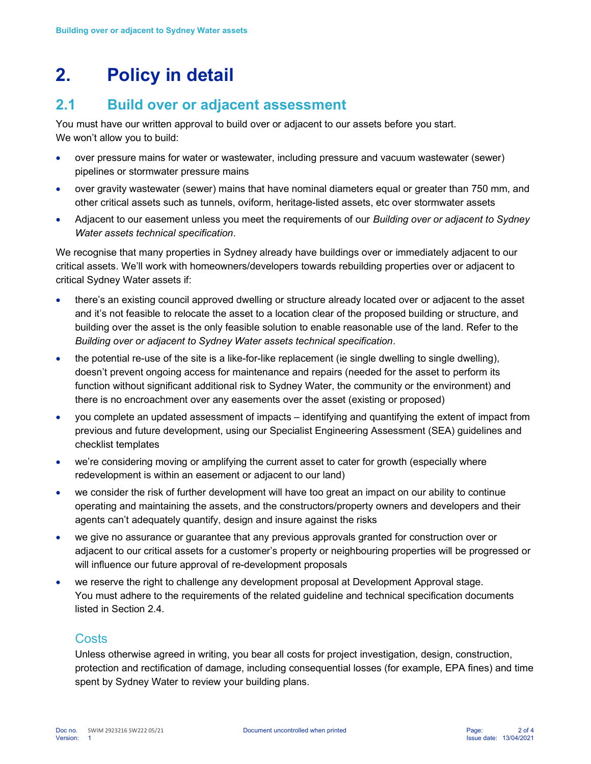# 2. Policy in detail

## 2.1 Build over or adjacent assessment

You must have our written approval to build over or adjacent to our assets before you start. We won't allow you to build:

- over pressure mains for water or wastewater, including pressure and vacuum wastewater (sewer) pipelines or stormwater pressure mains
- over gravity wastewater (sewer) mains that have nominal diameters equal or greater than 750 mm, and other critical assets such as tunnels, oviform, heritage-listed assets, etc over stormwater assets
- Adjacent to our easement unless you meet the requirements of our Building over or adjacent to Sydney Water assets technical specification.

We recognise that many properties in Sydney already have buildings over or immediately adjacent to our critical assets. We'll work with homeowners/developers towards rebuilding properties over or adjacent to critical Sydney Water assets if:

- there's an existing council approved dwelling or structure already located over or adjacent to the asset and it's not feasible to relocate the asset to a location clear of the proposed building or structure, and building over the asset is the only feasible solution to enable reasonable use of the land. Refer to the Building over or adjacent to Sydney Water assets technical specification.
- the potential re-use of the site is a like-for-like replacement (ie single dwelling to single dwelling), doesn't prevent ongoing access for maintenance and repairs (needed for the asset to perform its function without significant additional risk to Sydney Water, the community or the environment) and there is no encroachment over any easements over the asset (existing or proposed)
- you complete an updated assessment of impacts identifying and quantifying the extent of impact from previous and future development, using our Specialist Engineering Assessment (SEA) guidelines and checklist templates
- we're considering moving or amplifying the current asset to cater for growth (especially where redevelopment is within an easement or adjacent to our land)
- we consider the risk of further development will have too great an impact on our ability to continue operating and maintaining the assets, and the constructors/property owners and developers and their agents can't adequately quantify, design and insure against the risks
- we give no assurance or guarantee that any previous approvals granted for construction over or adjacent to our critical assets for a customer's property or neighbouring properties will be progressed or will influence our future approval of re-development proposals
- we reserve the right to challenge any development proposal at Development Approval stage. You must adhere to the requirements of the related guideline and technical specification documents listed in Section 2.4.

#### **Costs**

Unless otherwise agreed in writing, you bear all costs for project investigation, design, construction, protection and rectification of damage, including consequential losses (for example, EPA fines) and time spent by Sydney Water to review your building plans.